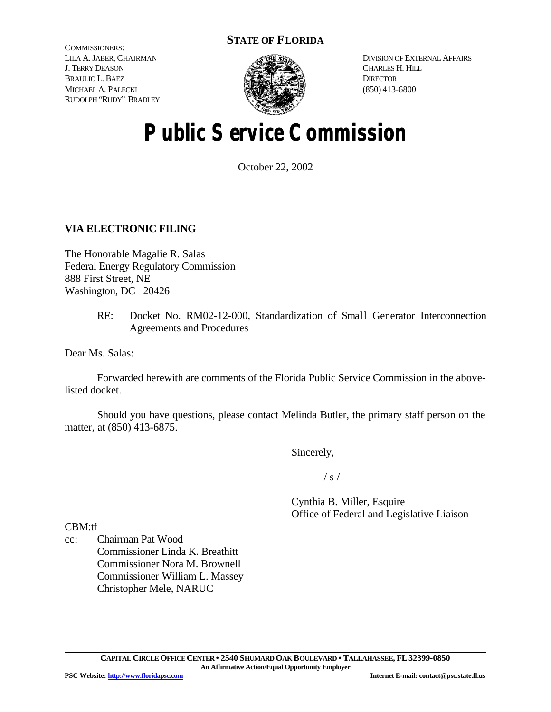## **STATE OF FLORIDA**

COMMISSIONERS: LILA A. JABER, CHAIRMAN J. TERRY DEASON BRAULIO L. BAEZ MICHAEL A. PALECKI RUDOLPH "RUDY" BRADLEY



DIVISION OF EXTERNAL AFFAIRS CHARLES H. HILL **DIRECTOR** (850) 413-6800

# **Public Service Commission**

October 22, 2002

## **VIA ELECTRONIC FILING**

The Honorable Magalie R. Salas Federal Energy Regulatory Commission 888 First Street, NE Washington, DC 20426

> RE: Docket No. RM02-12-000, Standardization of Small Generator Interconnection Agreements and Procedures

Dear Ms. Salas:

Forwarded herewith are comments of the Florida Public Service Commission in the abovelisted docket.

Should you have questions, please contact Melinda Butler, the primary staff person on the matter, at (850) 413-6875.

Sincerely,

 $/ s /$ 

Cynthia B. Miller, Esquire Office of Federal and Legislative Liaison

CBM:tf

cc: Chairman Pat Wood Commissioner Linda K. Breathitt Commissioner Nora M. Brownell Commissioner William L. Massey Christopher Mele, NARUC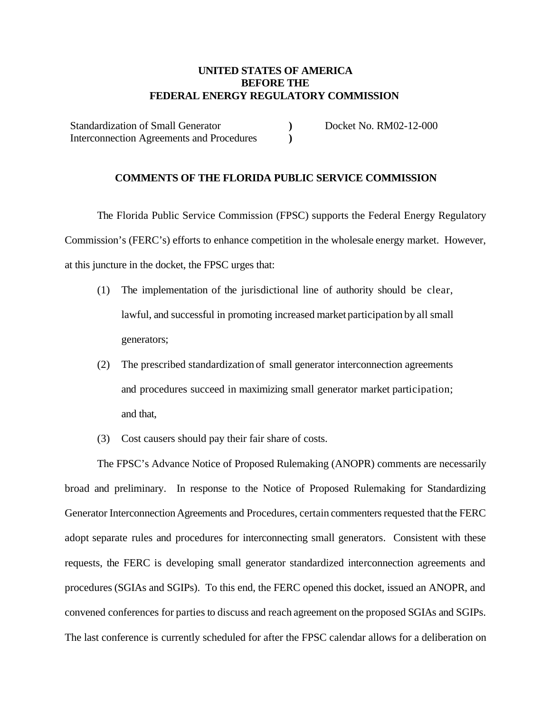### **UNITED STATES OF AMERICA BEFORE THE FEDERAL ENERGY REGULATORY COMMISSION**

Standardization of Small Generator Interconnection Agreements and Procedures Docket No. RM02-12-000

#### **COMMENTS OF THE FLORIDA PUBLIC SERVICE COMMISSION**

**) )**

The Florida Public Service Commission (FPSC) supports the Federal Energy Regulatory Commission's (FERC's) efforts to enhance competition in the wholesale energy market. However, at this juncture in the docket, the FPSC urges that:

- (1) The implementation of the jurisdictional line of authority should be clear, lawful, and successful in promoting increased market participation by all small generators;
- (2) The prescribed standardization of small generator interconnection agreements and procedures succeed in maximizing small generator market participation; and that,
- (3) Cost causers should pay their fair share of costs.

The FPSC's Advance Notice of Proposed Rulemaking (ANOPR) comments are necessarily broad and preliminary. In response to the Notice of Proposed Rulemaking for Standardizing Generator Interconnection Agreements and Procedures, certain commenters requested that the FERC adopt separate rules and procedures for interconnecting small generators. Consistent with these requests, the FERC is developing small generator standardized interconnection agreements and procedures (SGIAs and SGIPs). To this end, the FERC opened this docket, issued an ANOPR, and convened conferences for parties to discuss and reach agreement on the proposed SGIAs and SGIPs. The last conference is currently scheduled for after the FPSC calendar allows for a deliberation on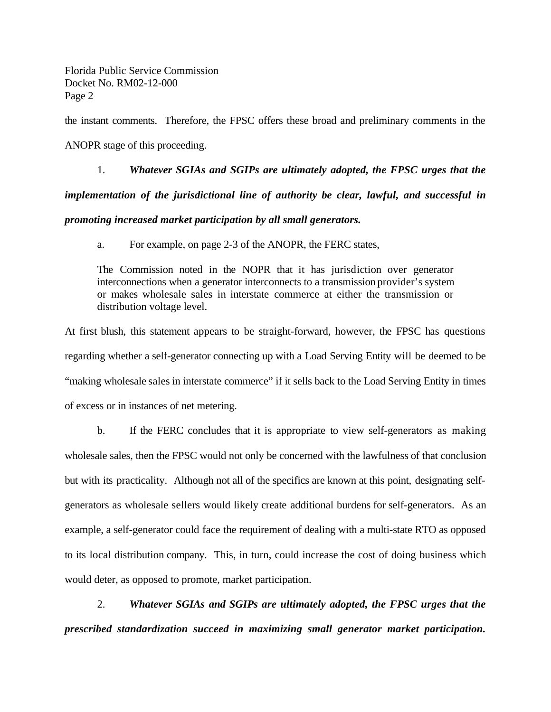Florida Public Service Commission Docket No. RM02-12-000 Page 2

the instant comments. Therefore, the FPSC offers these broad and preliminary comments in the

ANOPR stage of this proceeding.

1. *Whatever SGIAs and SGIPs are ultimately adopted, the FPSC urges that the implementation of the jurisdictional line of authority be clear, lawful, and successful in promoting increased market participation by all small generators.*

a. For example, on page 2-3 of the ANOPR, the FERC states,

The Commission noted in the NOPR that it has jurisdiction over generator interconnections when a generator interconnects to a transmission provider's system or makes wholesale sales in interstate commerce at either the transmission or distribution voltage level.

At first blush, this statement appears to be straight-forward, however, the FPSC has questions regarding whether a self-generator connecting up with a Load Serving Entity will be deemed to be "making wholesale sales in interstate commerce" if it sells back to the Load Serving Entity in times of excess or in instances of net metering.

b. If the FERC concludes that it is appropriate to view self-generators as making wholesale sales, then the FPSC would not only be concerned with the lawfulness of that conclusion but with its practicality. Although not all of the specifics are known at this point, designating selfgenerators as wholesale sellers would likely create additional burdens for self-generators. As an example, a self-generator could face the requirement of dealing with a multi-state RTO as opposed to its local distribution company. This, in turn, could increase the cost of doing business which would deter, as opposed to promote, market participation.

2. *Whatever SGIAs and SGIPs are ultimately adopted, the FPSC urges that the prescribed standardization succeed in maximizing small generator market participation.*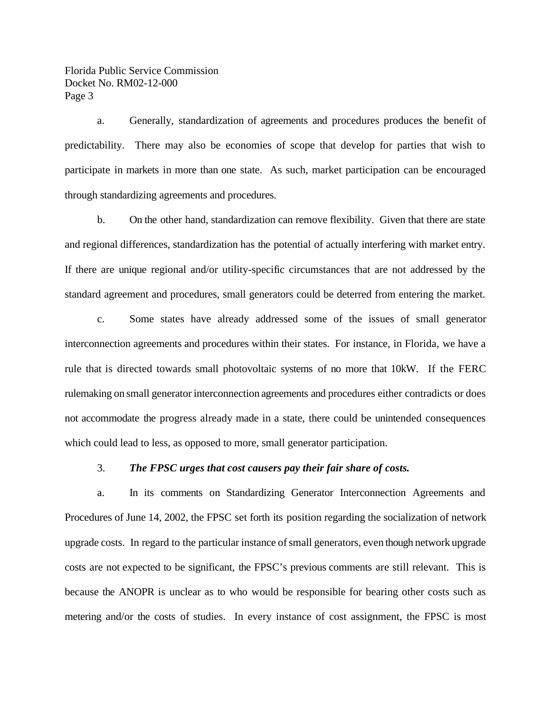Florida Public Service Commission Docket No. RM02-12-000 Page 3

a. Generally, standardization of agreements and procedures produces the benefit of predictability. There may also be economies of scope that develop for parties that wish to participate in markets in more than one state. As such, market participation can be encouraged through standardizing agreements and procedures.

b. On the other hand, standardization can remove flexibility. Given that there are state and regional differences, standardization has the potential of actually interfering with market entry. If there are unique regional and/or utility-specific circumstances that are not addressed by the standard agreement and procedures, small generators could be deterred from entering the market.

c. Some states have already addressed some of the issues of small generator interconnection agreements and procedures within their states. For instance, in Florida, we have a rule that is directed towards small photovoltaic systems of no more that 10kW. If the FERC rulemaking on small generator interconnection agreements and procedures either contradicts or does not accommodate the progress already made in a state, there could be unintended consequences which could lead to less, as opposed to more, small generator participation.

#### 3. *The FPSC urges that cost causers pay their fair share of costs.*

a. In its comments on Standardizing Generator Interconnection Agreements and Procedures of June 14, 2002, the FPSC set forth its position regarding the socialization of network upgrade costs. In regard to the particular instance ofsmall generators, even though network upgrade costs are not expected to be significant, the FPSC's previous comments are still relevant. This is because the ANOPR is unclear as to who would be responsible for bearing other costs such as metering and/or the costs of studies. In every instance of cost assignment, the FPSC is most